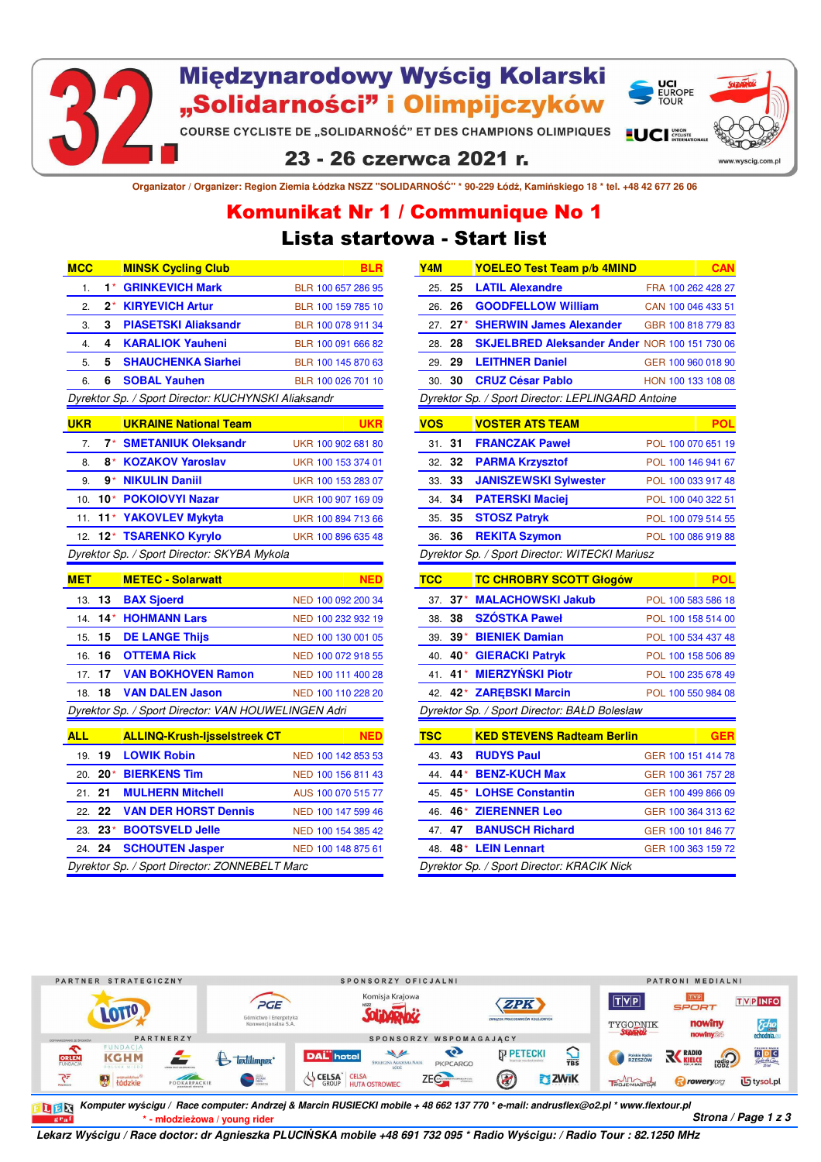

# Międzynarodowy Wyścig Kolarski "Solidarności" i Olimpijczyków

**COURSE CYCLISTE DE "SOLIDARNOŚĆ" ET DES CHAMPIONS OLIMPIQUES LUCI** 

### 23 - 26 czerwca 2021 r.

**Organizator / Organizer: Region Ziemia Łódzka NSZZ "SOLIDARNOŚĆ" \* 90-229 Łódź, Kamińskiego 18 \* tel. +48 42 677 26 06**

## Lista startowa - Start list Komunikat Nr 1 / Communique No 1

| <b>MCC</b>                                  |       | <b>MINSK Cycling Club</b>                           | <b>BLR</b>         |  |  |  |
|---------------------------------------------|-------|-----------------------------------------------------|--------------------|--|--|--|
| 1.                                          | 1*    | <b>GRINKEVICH Mark</b>                              | BLR 100 657 286 95 |  |  |  |
| 2.                                          | 2*    | <b>KIRYEVICH Artur</b>                              | BLR 100 159 785 10 |  |  |  |
| 3.                                          | 3     | <b>PIASETSKI Aliaksandr</b>                         | BLR 100 078 911 34 |  |  |  |
| 4.                                          | 4     | <b>KARALIOK Yauheni</b>                             | BLR 100 091 666 82 |  |  |  |
| 5.                                          | 5     | <b>SHAUCHENKA Siarhei</b>                           | BLR 100 145 870 63 |  |  |  |
| 6.                                          | 6     | <b>SOBAL Yauhen</b>                                 | BLR 100 026 701 10 |  |  |  |
|                                             |       | Dyrektor Sp. / Sport Director: KUCHYNSKI Aliaksandr |                    |  |  |  |
| <b>UKR</b>                                  |       | <b>UKRAINE National Team</b>                        | <b>UKR</b>         |  |  |  |
| 7.                                          | 7*    | <b>SMETANIUK Oleksandr</b>                          | UKR 100 902 681 80 |  |  |  |
| 8.                                          | 8*    | <b>KOZAKOV Yaroslav</b>                             | UKR 100 153 374 01 |  |  |  |
| 9.                                          | 9*    | <b>NIKULIN Daniil</b>                               | UKR 100 153 283 07 |  |  |  |
| 10.                                         | $10*$ | <b>POKOIOVYI Nazar</b>                              | UKR 100 907 169 09 |  |  |  |
| 11.                                         |       | 11* YAKOVLEV Mykyta                                 | UKR 100 894 713 66 |  |  |  |
| 12.                                         | $12*$ | <b>TSARENKO Kyrylo</b>                              | UKR 100 896 635 48 |  |  |  |
| Dyrektor Sp. / Sport Director: SKYBA Mykola |       |                                                     |                    |  |  |  |
|                                             |       |                                                     |                    |  |  |  |
| <b>MET</b>                                  |       | <b>METEC - Solarwatt</b>                            | <b>NED</b>         |  |  |  |
| 13.                                         | 13    | <b>BAX Sjoerd</b>                                   | NED 100 092 200 34 |  |  |  |
| 14.                                         | $14*$ | <b>HOHMANN Lars</b>                                 | NED 100 232 932 19 |  |  |  |
| 15.                                         | 15    | <b>DE LANGE Thijs</b>                               | NED 100 130 001 05 |  |  |  |
| 16.                                         | 16    | <b>OTTEMA Rick</b>                                  | NED 100 072 918 55 |  |  |  |
| 17.                                         | 17    | <b>VAN BOKHOVEN Ramon</b>                           | NED 100 111 400 28 |  |  |  |
| 18.                                         | 18    | <b>VAN DALEN Jason</b>                              | NED 100 110 228 20 |  |  |  |
|                                             |       | Dyrektor Sp. / Sport Director: VAN HOUWELINGEN Adri |                    |  |  |  |
| <b>ALL</b>                                  |       | <b>ALLINQ-Krush-Ijsselstreek CT</b>                 | <b>NED</b>         |  |  |  |
| 19.                                         | 19    | <b>LOWIK Robin</b>                                  | NED 100 142 853 53 |  |  |  |
| 20.                                         | 20*   | <b>BIERKENS Tim</b>                                 | NED 100 156 811 43 |  |  |  |
| 21.                                         | 21    | <b>MULHERN Mitchell</b>                             | AUS 100 070 515 77 |  |  |  |
| 22.                                         | 22    | <b>VAN DER HORST Dennis</b>                         | NED 100 147 599 46 |  |  |  |
| 23.                                         | 23*   | <b>BOOTSVELD Jelle</b>                              | NED 100 154 385 42 |  |  |  |
| 24.                                         | 24    | <b>SCHOUTEN Jasper</b>                              | NED 100 148 875 61 |  |  |  |

| Y4M        |        | <b>YOELEO Test Team p/b 4MIND</b>                 |  | <b>CAN</b>         |  |
|------------|--------|---------------------------------------------------|--|--------------------|--|
| 25.        | 25     | <b>LATIL Alexandre</b>                            |  | FRA 100 262 428 27 |  |
| 26.        | 26     | <b>GOODFELLOW William</b>                         |  | CAN 100 046 433 51 |  |
| 27.        | $27^*$ | <b>SHERWIN James Alexander</b>                    |  | GBR 100 818 779 83 |  |
| 28.        | 28     | SKJELBRED Aleksander Ander NOR 100 151 730 06     |  |                    |  |
| 29.        | 29     | <b>LEITHNER Daniel</b>                            |  | GER 100 960 018 90 |  |
| 30.        | 30     | <b>CRUZ César Pablo</b>                           |  | HON 100 133 108 08 |  |
|            |        | Dyrektor Sp. / Sport Director: LEPLINGARD Antoine |  |                    |  |
| <u>vos</u> |        | <b>VOSTER ATS TEAM</b>                            |  | POL                |  |
| 31.        | 31     | <b>FRANCZAK Paweł</b>                             |  | POL 100 070 651 19 |  |
| 32.        | 32     | <b>PARMA Krzysztof</b>                            |  | POL 100 146 941 67 |  |
| 33.        | 33     | <b>JANISZEWSKI Sylwester</b>                      |  | POL 100 033 917 48 |  |
| 34.        | 34     | <b>PATERSKI Maciej</b>                            |  | POL 100 040 322 51 |  |
| 35.        | 35     | <b>STOSZ Patryk</b>                               |  | POL 100 079 514 55 |  |
| 36.        | 36     | <b>REKITA Szymon</b>                              |  | POL 100 086 919 88 |  |
|            |        | Dyrektor Sp. / Sport Director: WITECKI Mariusz    |  |                    |  |
|            |        |                                                   |  |                    |  |
| <b>TCC</b> |        | <b>TC CHROBRY SCOTT Głogów</b>                    |  | POL                |  |
| 37.        | $37*$  | <b>MALACHOWSKI Jakub</b>                          |  | POL 100 583 586 18 |  |
| 38.        | 38     | <b>SZOSTKA Paweł</b>                              |  | POL 100 158 514 00 |  |
| 39.        |        | 39* BIENIEK Damian                                |  | POL 100 534 437 48 |  |
| 40.        | 40*⊹   | <b>GIERACKI Patryk</b>                            |  | POL 100 158 506 89 |  |
| 41.        | $41*$  | <b>MIERZYŃSKI Piotr</b>                           |  | POL 100 235 678 49 |  |
| 42.        | 42*    | <b>ZAREBSKI Marcin</b>                            |  | POL 100 550 984 08 |  |
|            |        | Dyrektor Sp. / Sport Director: BAŁD Bolesław      |  |                    |  |
| <b>TSC</b> |        | <b>KED STEVENS Radteam Berlin</b>                 |  | <b>GER</b>         |  |
| 43.        | 43     | <b>RUDYS Paul</b>                                 |  | GER 100 151 414 78 |  |
| 44.        | 44*    | <b>BENZ-KUCH Max</b>                              |  | GER 100 361 757 28 |  |
| 45.        | 45*    | <b>LOHSE Constantin</b>                           |  | GER 100 499 866 09 |  |
| 46.        | 46*    | <b>ZIERENNER Leo</b>                              |  | GER 100 364 313 62 |  |
| 47.        | 47     | <b>BANUSCH Richard</b>                            |  | GER 100 101 846 77 |  |
| 48.        |        | 48* LEIN Lennart                                  |  | GER 100 363 159 72 |  |

**UCI<br>EUROPE<br>TOUR** 

www.wyscia.com.p



**\* - młodzieżowa / young rider** *Strona / Page 1 z 3 Komputer wyścigu / Race computer: Andrzej & Marcin RUSIECKI mobile + 48 662 137 770 \* e-mail: andrusflex@o2.pl \* www.flextour.pl*

*Lekarz Wyścigu / Race doctor: dr Agnieszka PLUCIŃSKA mobile +48 691 732 095 \* Radio Wyścigu: / Radio Tour : 82.1250 MHz*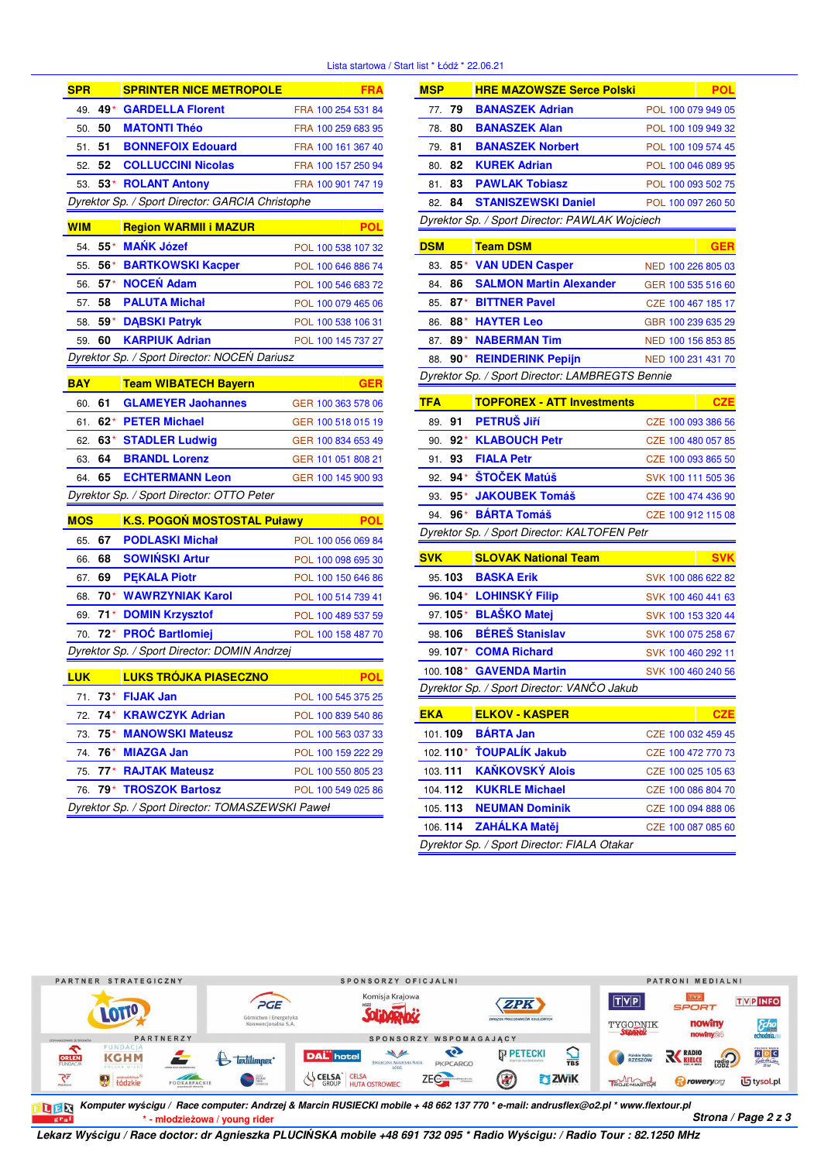### Lista startowa / Start I

| <b>SPR</b>                                       |       | <b>SPRINTER NICE METROPOLE</b>                   | <b>FRA</b>         |  |  |  |
|--------------------------------------------------|-------|--------------------------------------------------|--------------------|--|--|--|
| 49.                                              | 49*   | <b>GARDELLA Florent</b>                          | FRA 100 254 531 84 |  |  |  |
| 50.                                              | 50    | <b>MATONTI Théo</b>                              | FRA 100 259 683 95 |  |  |  |
| 51.                                              | 51    | <b>BONNEFOIX Edouard</b>                         | FRA 100 161 367 40 |  |  |  |
| 52.                                              | 52    | <b>COLLUCCINI Nicolas</b>                        | FRA 100 157 250 94 |  |  |  |
| 53.                                              | 53*   | <b>ROLANT Antony</b>                             | FRA 100 901 747 19 |  |  |  |
| Dyrektor Sp. / Sport Director: GARCIA Christophe |       |                                                  |                    |  |  |  |
| <b>WIM</b>                                       |       | <b>Region WARMII i MAZUR</b>                     | POL                |  |  |  |
| 54.                                              | $55*$ | <b>MAŃK Józef</b>                                | POL 100 538 107 32 |  |  |  |
| 55.                                              | 56*   | <b>BARTKOWSKI Kacper</b>                         | POL 100 646 886 74 |  |  |  |
| 56.                                              | $57*$ | <b>NOCEŃ Adam</b>                                | POL 100 546 683 72 |  |  |  |
| 57.                                              | 58    | <b>PALUTA Michał</b>                             | POL 100 079 465 06 |  |  |  |
| 58.                                              | $59*$ | <b>DABSKI Patryk</b>                             | POL 100 538 106 31 |  |  |  |
| 59.                                              | 60    | <b>KARPIUK Adrian</b>                            | POL 100 145 737 27 |  |  |  |
|                                                  |       | Dyrektor Sp. / Sport Director: NOCEŃ Dariusz     |                    |  |  |  |
| <b>BAY</b>                                       |       | <b>Team WIBATECH Bayern</b>                      | <b>GER</b>         |  |  |  |
| 60.                                              | 61    | <b>GLAMEYER Jaohannes</b>                        | GER 100 363 578 06 |  |  |  |
| 61.                                              | $62*$ | <b>PETER Michael</b>                             | GER 100 518 015 19 |  |  |  |
| 62.                                              | 63*   | <b>STADLER Ludwig</b>                            | GER 100 834 653 49 |  |  |  |
| 63.                                              | 64    | <b>BRANDL Lorenz</b>                             | GER 101 051 808 21 |  |  |  |
| 64.                                              | 65    | <b>ECHTERMANN Leon</b>                           | GER 100 145 900 93 |  |  |  |
|                                                  |       | Dyrektor Sp. / Sport Director: OTTO Peter        |                    |  |  |  |
| <b>MOS</b>                                       |       | <b>K.S. POGOŃ MOSTOSTAL Puławy</b>               | POL                |  |  |  |
| 65.                                              | 67    | <b>PODLASKI Michał</b>                           | POL 100 056 069 84 |  |  |  |
| 66.                                              | 68    | <b>SOWIŃSKI Artur</b>                            | POL 100 098 695 30 |  |  |  |
| 67.                                              | 69    | <b>PEKALA Piotr</b>                              | POL 100 150 646 86 |  |  |  |
| 68.                                              | 70*   | <b>WAWRZYNIAK Karol</b>                          | POL 100 514 739 41 |  |  |  |
| 69.                                              | $71*$ | <b>DOMIN Krzysztof</b>                           | POL 100 489 537 59 |  |  |  |
| 70.                                              | 72*   | <b>PROĆ Bartlomiej</b>                           | POL 100 158 487 70 |  |  |  |
| Dyrektor Sp. / Sport Director: DOMIN Andrzej     |       |                                                  |                    |  |  |  |
| <b>LUK</b>                                       |       | <b>LUKS TRÓJKA PIASECZNO</b>                     | POL                |  |  |  |
| 71.                                              | 73*   | <b>FIJAK Jan</b>                                 | POL 100 545 375 25 |  |  |  |
| 72.                                              | 74*   | <b>KRAWCZYK Adrian</b>                           | POL 100 839 540 86 |  |  |  |
| 73.                                              | 75*   | <b>MANOWSKI Mateusz</b>                          | POL 100 563 037 33 |  |  |  |
| 74.                                              | 76*   | <b>MIAZGA Jan</b>                                | POL 100 159 222 29 |  |  |  |
| 75.                                              | 77*   | <b>RAJTAK Mateusz</b>                            | POL 100 550 805 23 |  |  |  |
| 76.                                              | 79*   | <b>TROSZOK Bartosz</b>                           | POL 100 549 025 86 |  |  |  |
|                                                  |       | Dyrektor Sp. / Sport Director: TOMASZEWSKI Paweł |                    |  |  |  |

|                                            |         | ist * Łódź * 22.06.21                           |  |                    |  |  |
|--------------------------------------------|---------|-------------------------------------------------|--|--------------------|--|--|
| <b>MSP</b>                                 |         | <b>HRE MAZOWSZE Serce Polski</b>                |  | <b>POL</b>         |  |  |
| 77.                                        | 79      | <b>BANASZEK Adrian</b>                          |  | POL 100 079 949 05 |  |  |
| 78.                                        | 80      | <b>BANASZEK Alan</b>                            |  | POL 100 109 949 32 |  |  |
| 79.                                        | 81      | <b>BANASZEK Norbert</b>                         |  | POL 100 109 574 45 |  |  |
| 80.                                        | 82      | <b>KUREK Adrian</b>                             |  | POL 100 046 089 95 |  |  |
| 81.                                        | 83      | <b>PAWLAK Tobiasz</b>                           |  | POL 100 093 502 75 |  |  |
| 82.                                        | 84      | <b>STANISZEWSKI Daniel</b>                      |  | POL 100 097 260 50 |  |  |
|                                            |         | Dyrektor Sp. / Sport Director: PAWLAK Wojciech  |  |                    |  |  |
| <b>DSM</b>                                 |         | <b>Team DSM</b>                                 |  | <b>GER</b>         |  |  |
| 83.                                        | 85*     | <b>VAN UDEN Casper</b>                          |  | NED 100 226 805 03 |  |  |
| 84.                                        | 86      | <b>SALMON Martin Alexander</b>                  |  | GER 100 535 516 60 |  |  |
| 85.                                        | 87*     | <b>BITTNER Pavel</b>                            |  | CZE 100 467 185 17 |  |  |
| 86.                                        |         | 88* HAYTER Leo                                  |  | GBR 100 239 635 29 |  |  |
| 87.                                        | 89*     | <b>NABERMAN Tim</b>                             |  | NED 100 156 853 85 |  |  |
| 88.                                        |         | 90* REINDERINK Pepijn                           |  | NED 100 231 431 70 |  |  |
|                                            |         | Dyrektor Sp. / Sport Director: LAMBREGTS Bennie |  |                    |  |  |
| <b>TFA</b>                                 |         | <b>TOPFOREX - ATT Investments</b>               |  | <b>CZE</b>         |  |  |
| 89.                                        | 91      | <b>PETRUS Jiří</b>                              |  | CZE 100 093 386 56 |  |  |
| 90.                                        |         | 92* KLABOUCH Petr                               |  | CZE 100 480 057 85 |  |  |
| 91.                                        | 93      | <b>FIALA Petr</b>                               |  | CZE 100 093 865 50 |  |  |
| 92.                                        | $94*$   | ŠTOČEK Matúš                                    |  | SVK 100 111 505 36 |  |  |
| 93.                                        | 95* .   | <b>JAKOUBEK Tomáš</b>                           |  | CZE 100 474 436 90 |  |  |
| 94.                                        | 96*     | <b>BARTA Tomáš</b>                              |  | CZE 100 912 115 08 |  |  |
|                                            |         | Dyrektor Sp. / Sport Director: KALTOFEN Petr    |  |                    |  |  |
| <b>SVK</b>                                 |         | <b>SLOVAK National Team</b>                     |  | <b>SVK</b>         |  |  |
| 95.103                                     |         | <b>BASKA Erik</b>                               |  | SVK 100 086 622 82 |  |  |
|                                            |         | 96.104* LOHINSKÝ Filip                          |  | SVK 100 460 441 63 |  |  |
|                                            | 97.105* | <b>BLAŠKO Matej</b>                             |  | SVK 100 153 320 44 |  |  |
| 98.106                                     |         | <b>BÉRES Stanislav</b>                          |  | SVK 100 075 258 67 |  |  |
|                                            |         | 99.107* COMA Richard                            |  | SVK 100 460 292 11 |  |  |
|                                            |         | 100. 108* GAVENDA Martin                        |  | SVK 100 460 240 56 |  |  |
| Dyrektor Sp. / Sport Director: VANČO Jakub |         |                                                 |  |                    |  |  |
| <b>EKA</b>                                 |         | <b>ELKOV - KASPER</b>                           |  | CZI                |  |  |
| 101.109                                    |         | <b>BARTA Jan</b>                                |  | CZE 100 032 459 45 |  |  |
| 102.110*                                   |         | <b>TOUPALIK Jakub</b>                           |  | CZE 100 472 770 73 |  |  |
| 103.111                                    |         | <b>KANKOVSKÝ Alois</b>                          |  | CZE 100 025 105 63 |  |  |
| 104.112                                    |         | <b>KUKRLE Michael</b>                           |  | CZE 100 086 804 70 |  |  |
| 105.113                                    |         | <b>NEUMAN Dominik</b>                           |  | CZE 100 094 888 06 |  |  |
| 106.114                                    |         | <b>ZAHÁLKA Matěj</b>                            |  | CZE 100 087 085 60 |  |  |
|                                            |         | Dyrektor Sp. / Sport Director: FIALA Otakar     |  |                    |  |  |



**\* - młodzieżowa / young rider** *Strona / Page 2 z 3 Komputer wyścigu / Race computer: Andrzej & Marcin RUSIECKI mobile + 48 662 137 770 \* e-mail: andrusflex@o2.pl \* www.flextour.pl*

*Lekarz Wyścigu / Race doctor: dr Agnieszka PLUCIŃSKA mobile +48 691 732 095 \* Radio Wyścigu: / Radio Tour : 82.1250 MHz*